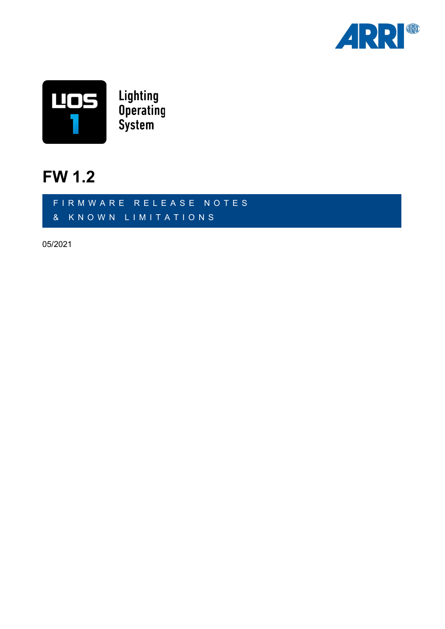



### **FW 1.2**

FIRMWARE RELEASE NOTES & KNOWN LIMITATIONS

05/2021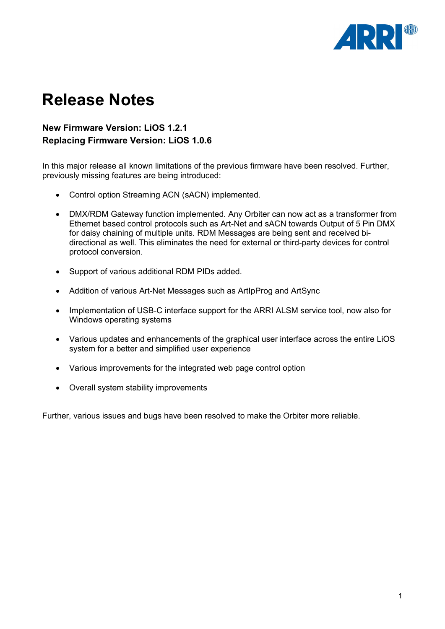

## **Release Notes**

#### **New Firmware Version: LiOS 1.2.1 Replacing Firmware Version: LiOS 1.0.6**

In this major release all known limitations of the previous firmware have been resolved. Further, previously missing features are being introduced:

- Control option Streaming ACN (sACN) implemented.
- DMX/RDM Gateway function implemented. Any Orbiter can now act as a transformer from Ethernet based control protocols such as Art-Net and sACN towards Output of 5 Pin DMX for daisy chaining of multiple units. RDM Messages are being sent and received bidirectional as well. This eliminates the need for external or third-party devices for control protocol conversion.
- Support of various additional RDM PIDs added.
- Addition of various Art-Net Messages such as ArtIpProg and ArtSync
- Implementation of USB-C interface support for the ARRI ALSM service tool, now also for Windows operating systems
- Various updates and enhancements of the graphical user interface across the entire LiOS system for a better and simplified user experience
- Various improvements for the integrated web page control option
- Overall system stability improvements

Further, various issues and bugs have been resolved to make the Orbiter more reliable.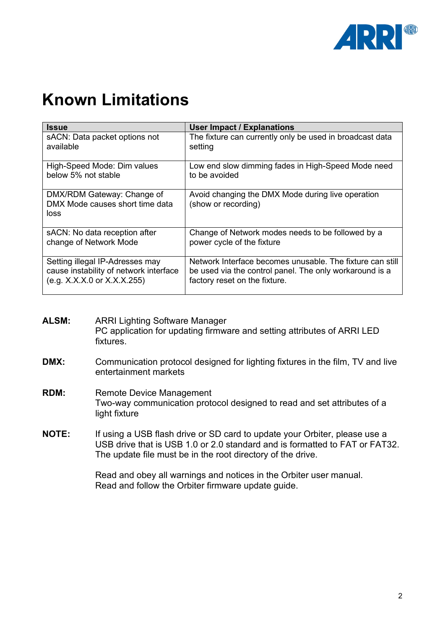

# **Known Limitations**

| <b>Issue</b>                                                          | <b>User Impact / Explanations</b>                                        |
|-----------------------------------------------------------------------|--------------------------------------------------------------------------|
| sACN: Data packet options not                                         | The fixture can currently only be used in broadcast data                 |
| available                                                             | setting                                                                  |
| High-Speed Mode: Dim values                                           | Low end slow dimming fades in High-Speed Mode need                       |
| below 5% not stable                                                   | to be avoided                                                            |
| DMX/RDM Gateway: Change of<br>DMX Mode causes short time data<br>loss | Avoid changing the DMX Mode during live operation<br>(show or recording) |
| sACN: No data reception after                                         | Change of Network modes needs to be followed by a                        |
| change of Network Mode                                                | power cycle of the fixture                                               |
| Setting illegal IP-Adresses may                                       | Network Interface becomes unusable. The fixture can still                |
| cause instability of network interface                                | be used via the control panel. The only workaround is a                  |
| (e.g. X.X.X.0 or X.X.X.255)                                           | factory reset on the fixture.                                            |

- **ALSM:** ARRI Lighting Software Manager PC application for updating firmware and setting attributes of ARRI LED fixtures.
- **DMX:** Communication protocol designed for lighting fixtures in the film, TV and live entertainment markets
- **RDM:** Remote Device Management Two-way communication protocol designed to read and set attributes of a light fixture
- **NOTE:** If using a USB flash drive or SD card to update your Orbiter, please use a USB drive that is USB 1.0 or 2.0 standard and is formatted to FAT or FAT32. The update file must be in the root directory of the drive.

Read and obey all warnings and notices in the Orbiter user manual. Read and follow the Orbiter firmware update guide.